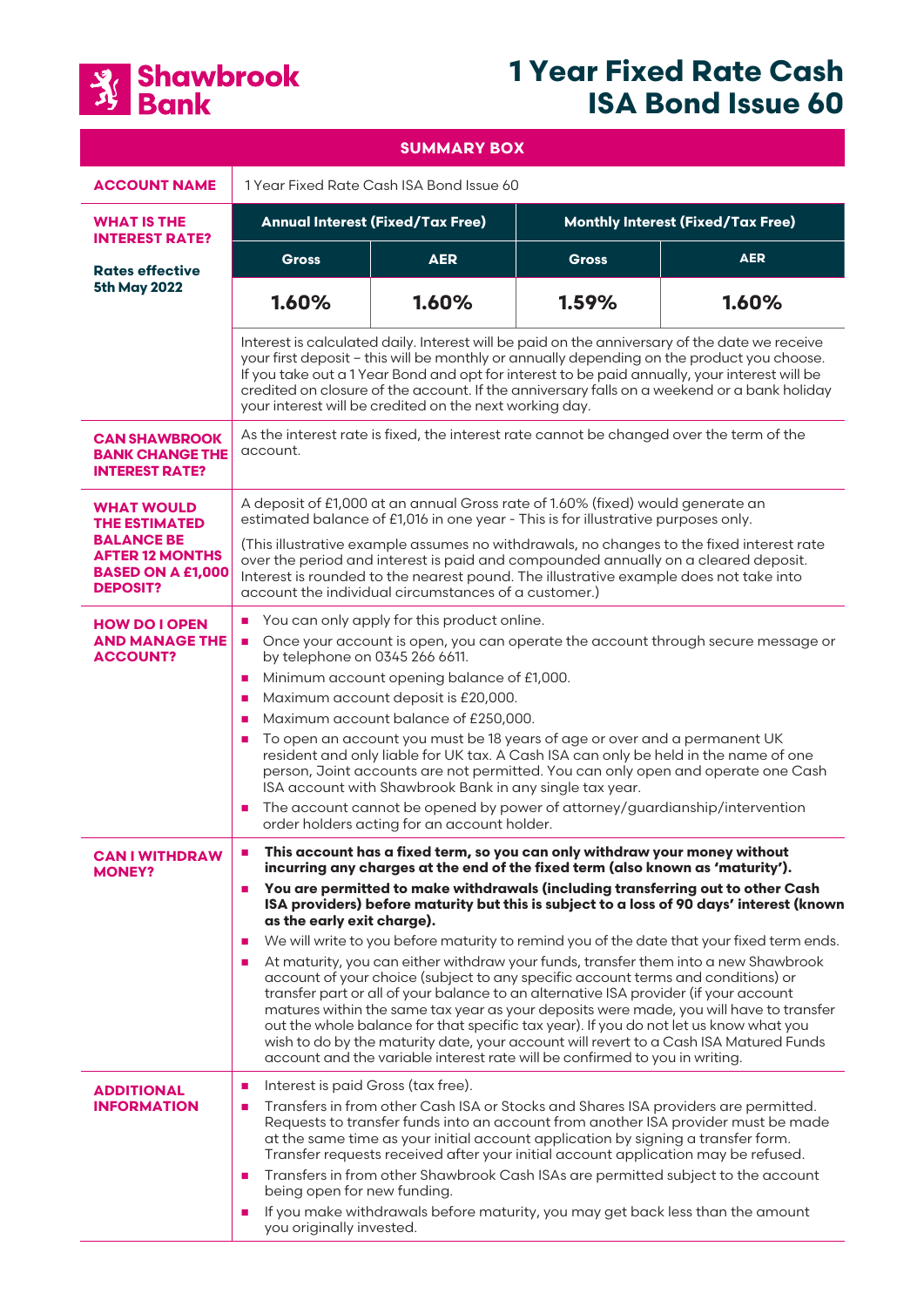

# **1 Year Fixed Rate Cash ISA Bond Issue 60**

| <b>SUMMARY BOX</b>                                                                                                                      |                                                                                                                                                                                                                                                                                                                                                                                                                                                                                                                                                                                                                                                                                                                                                                                                                                                                                                                                                                                                                                                                                                                                                                              |            |                                          |            |
|-----------------------------------------------------------------------------------------------------------------------------------------|------------------------------------------------------------------------------------------------------------------------------------------------------------------------------------------------------------------------------------------------------------------------------------------------------------------------------------------------------------------------------------------------------------------------------------------------------------------------------------------------------------------------------------------------------------------------------------------------------------------------------------------------------------------------------------------------------------------------------------------------------------------------------------------------------------------------------------------------------------------------------------------------------------------------------------------------------------------------------------------------------------------------------------------------------------------------------------------------------------------------------------------------------------------------------|------------|------------------------------------------|------------|
| <b>ACCOUNT NAME</b>                                                                                                                     | 1 Year Fixed Rate Cash ISA Bond Issue 60                                                                                                                                                                                                                                                                                                                                                                                                                                                                                                                                                                                                                                                                                                                                                                                                                                                                                                                                                                                                                                                                                                                                     |            |                                          |            |
| <b>WHAT IS THE</b><br><b>INTEREST RATE?</b>                                                                                             | <b>Annual Interest (Fixed/Tax Free)</b>                                                                                                                                                                                                                                                                                                                                                                                                                                                                                                                                                                                                                                                                                                                                                                                                                                                                                                                                                                                                                                                                                                                                      |            | <b>Monthly Interest (Fixed/Tax Free)</b> |            |
| <b>Rates effective</b><br><b>5th May 2022</b>                                                                                           | <b>Gross</b>                                                                                                                                                                                                                                                                                                                                                                                                                                                                                                                                                                                                                                                                                                                                                                                                                                                                                                                                                                                                                                                                                                                                                                 | <b>AER</b> | <b>Gross</b>                             | <b>AER</b> |
|                                                                                                                                         | 1.60%                                                                                                                                                                                                                                                                                                                                                                                                                                                                                                                                                                                                                                                                                                                                                                                                                                                                                                                                                                                                                                                                                                                                                                        | 1.60%      | 1.59%                                    | 1.60%      |
|                                                                                                                                         | Interest is calculated daily. Interest will be paid on the anniversary of the date we receive<br>your first deposit - this will be monthly or annually depending on the product you choose.<br>If you take out a 1 Year Bond and opt for interest to be paid annually, your interest will be<br>credited on closure of the account. If the anniversary falls on a weekend or a bank holiday<br>your interest will be credited on the next working day.                                                                                                                                                                                                                                                                                                                                                                                                                                                                                                                                                                                                                                                                                                                       |            |                                          |            |
| <b>CAN SHAWBROOK</b><br><b>BANK CHANGE THE</b><br><b>INTEREST RATE?</b>                                                                 | As the interest rate is fixed, the interest rate cannot be changed over the term of the<br>account.                                                                                                                                                                                                                                                                                                                                                                                                                                                                                                                                                                                                                                                                                                                                                                                                                                                                                                                                                                                                                                                                          |            |                                          |            |
| <b>WHAT WOULD</b><br><b>THE ESTIMATED</b><br><b>BALANCE BE</b><br><b>AFTER 12 MONTHS</b><br><b>BASED ON A £1,000</b><br><b>DEPOSIT?</b> | A deposit of £1,000 at an annual Gross rate of 1.60% (fixed) would generate an<br>estimated balance of £1,016 in one year - This is for illustrative purposes only.<br>(This illustrative example assumes no withdrawals, no changes to the fixed interest rate<br>over the period and interest is paid and compounded annually on a cleared deposit.<br>Interest is rounded to the nearest pound. The illustrative example does not take into<br>account the individual circumstances of a customer.)                                                                                                                                                                                                                                                                                                                                                                                                                                                                                                                                                                                                                                                                       |            |                                          |            |
| <b>HOW DO I OPEN</b><br><b>AND MANAGE THE</b><br><b>ACCOUNT?</b>                                                                        | You can only apply for this product online.<br>п<br>Once your account is open, you can operate the account through secure message or<br>$\mathbf{r}$<br>by telephone on 0345 266 6611.<br>Minimum account opening balance of £1,000.<br>a.<br>Maximum account deposit is £20,000.<br>a.<br>Maximum account balance of £250,000.<br>$\mathbf{r}$<br>To open an account you must be 18 years of age or over and a permanent UK<br>п<br>resident and only liable for UK tax. A Cash ISA can only be held in the name of one<br>person, Joint accounts are not permitted. You can only open and operate one Cash<br>ISA account with Shawbrook Bank in any single tax year.<br>The account cannot be opened by power of attorney/guardianship/intervention<br>order holders acting for an account holder.                                                                                                                                                                                                                                                                                                                                                                        |            |                                          |            |
| <b>CAN I WITHDRAW</b><br><b>MONEY?</b>                                                                                                  | This account has a fixed term, so you can only withdraw your money without<br>п<br>incurring any charges at the end of the fixed term (also known as 'maturity').<br>You are permitted to make withdrawals (including transferring out to other Cash<br>$\blacksquare$<br>ISA providers) before maturity but this is subject to a loss of 90 days' interest (known<br>as the early exit charge).<br>We will write to you before maturity to remind you of the date that your fixed term ends.<br>$\mathcal{L}_{\mathcal{A}}$<br>At maturity, you can either withdraw your funds, transfer them into a new Shawbrook<br>$\blacksquare$<br>account of your choice (subject to any specific account terms and conditions) or<br>transfer part or all of your balance to an alternative ISA provider (if your account<br>matures within the same tax year as your deposits were made, you will have to transfer<br>out the whole balance for that specific tax year). If you do not let us know what you<br>wish to do by the maturity date, your account will revert to a Cash ISA Matured Funds<br>account and the variable interest rate will be confirmed to you in writing. |            |                                          |            |
| <b>ADDITIONAL</b><br><b>INFORMATION</b>                                                                                                 | Interest is paid Gross (tax free).<br>ш<br>Transfers in from other Cash ISA or Stocks and Shares ISA providers are permitted.<br>ш<br>Requests to transfer funds into an account from another ISA provider must be made<br>at the same time as your initial account application by signing a transfer form.<br>Transfer requests received after your initial account application may be refused.<br>Transfers in from other Shawbrook Cash ISAs are permitted subject to the account<br>$\mathcal{L}_{\mathcal{A}}$<br>being open for new funding.<br>If you make withdrawals before maturity, you may get back less than the amount<br>$\blacksquare$<br>you originally invested.                                                                                                                                                                                                                                                                                                                                                                                                                                                                                           |            |                                          |            |